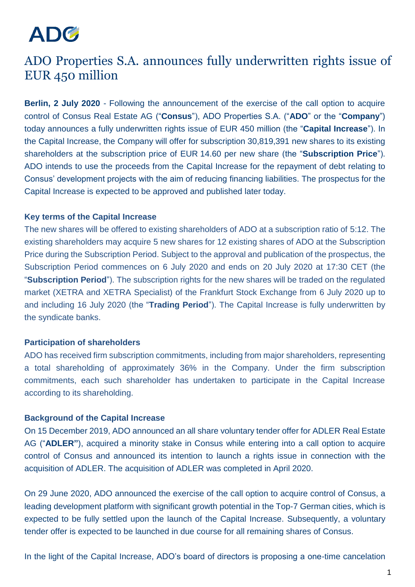# ADC

# ADO Properties S.A. announces fully underwritten rights issue of EUR 450 million

**Berlin, 2 July 2020** - Following the announcement of the exercise of the call option to acquire control of Consus Real Estate AG ("**Consus**"), ADO Properties S.A. ("**ADO**" or the "**Company**") today announces a fully underwritten rights issue of EUR 450 million (the "**Capital Increase**"). In the Capital Increase, the Company will offer for subscription 30,819,391 new shares to its existing shareholders at the subscription price of EUR 14.60 per new share (the "**Subscription Price**"). ADO intends to use the proceeds from the Capital Increase for the repayment of debt relating to Consus' development projects with the aim of reducing financing liabilities. The prospectus for the Capital Increase is expected to be approved and published later today.

### **Key terms of the Capital Increase**

The new shares will be offered to existing shareholders of ADO at a subscription ratio of 5:12. The existing shareholders may acquire 5 new shares for 12 existing shares of ADO at the Subscription Price during the Subscription Period. Subject to the approval and publication of the prospectus, the Subscription Period commences on 6 July 2020 and ends on 20 July 2020 at 17:30 CET (the "**Subscription Period**"). The subscription rights for the new shares will be traded on the regulated market (XETRA and XETRA Specialist) of the Frankfurt Stock Exchange from 6 July 2020 up to and including 16 July 2020 (the "**Trading Period**"). The Capital Increase is fully underwritten by the syndicate banks.

#### **Participation of shareholders**

ADO has received firm subscription commitments, including from major shareholders, representing a total shareholding of approximately 36% in the Company. Under the firm subscription commitments, each such shareholder has undertaken to participate in the Capital Increase according to its shareholding.

## **Background of the Capital Increase**

On 15 December 2019, ADO announced an all share voluntary tender offer for ADLER Real Estate AG ("**ADLER"**), acquired a minority stake in Consus while entering into a call option to acquire control of Consus and announced its intention to launch a rights issue in connection with the acquisition of ADLER. The acquisition of ADLER was completed in April 2020.

On 29 June 2020, ADO announced the exercise of the call option to acquire control of Consus, a leading development platform with significant growth potential in the Top-7 German cities, which is expected to be fully settled upon the launch of the Capital Increase. Subsequently, a voluntary tender offer is expected to be launched in due course for all remaining shares of Consus.

In the light of the Capital Increase, ADO's board of directors is proposing a one-time cancelation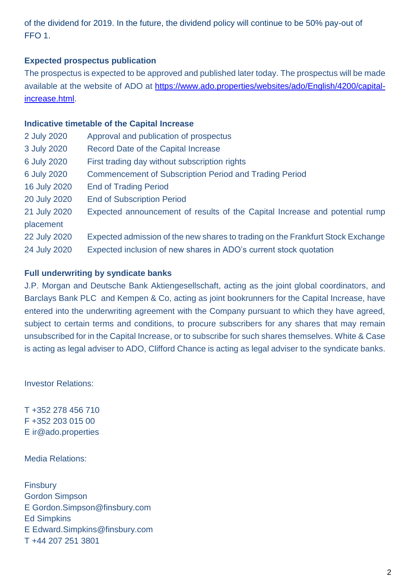of the dividend for 2019. In the future, the dividend policy will continue to be 50% pay-out of FFO 1.

### **Expected prospectus publication**

The prospectus is expected to be approved and published later today. The prospectus will be made available at the website of ADO at [https://www.ado.properties/websites/ado/English/4200/capital](https://www.ado.properties/websites/ado/English/4200/capital-increase.html)[increase.html.](https://www.ado.properties/websites/ado/English/4200/capital-increase.html)

#### **Indicative timetable of the Capital Increase**

| 2 July 2020  | Approval and publication of prospectus                                          |
|--------------|---------------------------------------------------------------------------------|
| 3 July 2020  | <b>Record Date of the Capital Increase</b>                                      |
| 6 July 2020  | First trading day without subscription rights                                   |
| 6 July 2020  | <b>Commencement of Subscription Period and Trading Period</b>                   |
| 16 July 2020 | <b>End of Trading Period</b>                                                    |
| 20 July 2020 | <b>End of Subscription Period</b>                                               |
| 21 July 2020 | Expected announcement of results of the Capital Increase and potential rump     |
| placement    |                                                                                 |
| 22 July 2020 | Expected admission of the new shares to trading on the Frankfurt Stock Exchange |
| 24 July 2020 | Expected inclusion of new shares in ADO's current stock quotation               |
|              |                                                                                 |

#### **Full underwriting by syndicate banks**

J.P. Morgan and Deutsche Bank Aktiengesellschaft, acting as the joint global coordinators, and Barclays Bank PLC and Kempen & Co, acting as joint bookrunners for the Capital Increase, have entered into the underwriting agreement with the Company pursuant to which they have agreed, subject to certain terms and conditions, to procure subscribers for any shares that may remain unsubscribed for in the Capital Increase, or to subscribe for such shares themselves. White & Case is acting as legal adviser to ADO, Clifford Chance is acting as legal adviser to the syndicate banks.

Investor Relations:

T +352 278 456 710 F +352 203 015 00 E ir@ado.properties

Media Relations:

**Finsbury** Gordon Simpson E Gordon.Simpson@finsbury.com Ed Simpkins E Edward.Simpkins@finsbury.com T +44 207 251 3801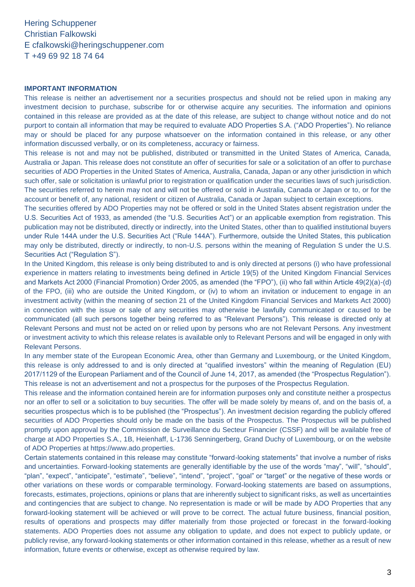Hering Schuppener Christian Falkowski E cfalkowski@heringschuppener.com T +49 69 92 18 74 64

#### **IMPORTANT INFORMATION**

This release is neither an advertisement nor a securities prospectus and should not be relied upon in making any investment decision to purchase, subscribe for or otherwise acquire any securities. The information and opinions contained in this release are provided as at the date of this release, are subject to change without notice and do not purport to contain all information that may be required to evaluate ADO Properties S.A. ("ADO Properties"). No reliance may or should be placed for any purpose whatsoever on the information contained in this release, or any other information discussed verbally, or on its completeness, accuracy or fairness.

This release is not and may not be published, distributed or transmitted in the United States of America, Canada, Australia or Japan. This release does not constitute an offer of securities for sale or a solicitation of an offer to purchase securities of ADO Properties in the United States of America, Australia, Canada, Japan or any other jurisdiction in which such offer, sale or solicitation is unlawful prior to registration or qualification under the securities laws of such jurisdiction. The securities referred to herein may not and will not be offered or sold in Australia, Canada or Japan or to, or for the account or benefit of, any national, resident or citizen of Australia, Canada or Japan subject to certain exceptions.

The securities offered by ADO Properties may not be offered or sold in the United States absent registration under the U.S. Securities Act of 1933, as amended (the "U.S. Securities Act") or an applicable exemption from registration. This publication may not be distributed, directly or indirectly, into the United States, other than to qualified institutional buyers under Rule 144A under the U.S. Securities Act ("Rule 144A"). Furthermore, outside the United States, this publication may only be distributed, directly or indirectly, to non-U.S. persons within the meaning of Regulation S under the U.S. Securities Act ("Regulation S").

In the United Kingdom, this release is only being distributed to and is only directed at persons (i) who have professional experience in matters relating to investments being defined in Article 19(5) of the United Kingdom Financial Services and Markets Act 2000 (Financial Promotion) Order 2005, as amended (the "FPO"), (ii) who fall within Article 49(2)(a)-(d) of the FPO, (iii) who are outside the United Kingdom, or (iv) to whom an invitation or inducement to engage in an investment activity (within the meaning of section 21 of the United Kingdom Financial Services and Markets Act 2000) in connection with the issue or sale of any securities may otherwise be lawfully communicated or caused to be communicated (all such persons together being referred to as "Relevant Persons"). This release is directed only at Relevant Persons and must not be acted on or relied upon by persons who are not Relevant Persons. Any investment or investment activity to which this release relates is available only to Relevant Persons and will be engaged in only with Relevant Persons.

In any member state of the European Economic Area, other than Germany and Luxembourg, or the United Kingdom, this release is only addressed to and is only directed at "qualified investors" within the meaning of Regulation (EU) 2017/1129 of the European Parliament and of the Council of June 14, 2017, as amended (the "Prospectus Regulation"). This release is not an advertisement and not a prospectus for the purposes of the Prospectus Regulation.

This release and the information contained herein are for information purposes only and constitute neither a prospectus nor an offer to sell or a solicitation to buy securities. The offer will be made solely by means of, and on the basis of, a securities prospectus which is to be published (the "Prospectus"). An investment decision regarding the publicly offered securities of ADO Properties should only be made on the basis of the Prospectus. The Prospectus will be published promptly upon approval by the Commission de Surveillance du Secteur Financier (CSSF) and will be available free of charge at ADO Properties S.A., 1B, Heienhaff, L-1736 Senningerberg, Grand Duchy of Luxembourg, or on the website of ADO Properties at https://www.ado.properties.

Certain statements contained in this release may constitute "forward-looking statements" that involve a number of risks and uncertainties. Forward-looking statements are generally identifiable by the use of the words "may", "will", "should", "plan", "expect", "anticipate", "estimate", "believe", "intend", "project", "goal" or "target" or the negative of these words or other variations on these words or comparable terminology. Forward-looking statements are based on assumptions, forecasts, estimates, projections, opinions or plans that are inherently subject to significant risks, as well as uncertainties and contingencies that are subject to change. No representation is made or will be made by ADO Properties that any forward-looking statement will be achieved or will prove to be correct. The actual future business, financial position, results of operations and prospects may differ materially from those projected or forecast in the forward-looking statements. ADO Properties does not assume any obligation to update, and does not expect to publicly update, or publicly revise, any forward-looking statements or other information contained in this release, whether as a result of new information, future events or otherwise, except as otherwise required by law.